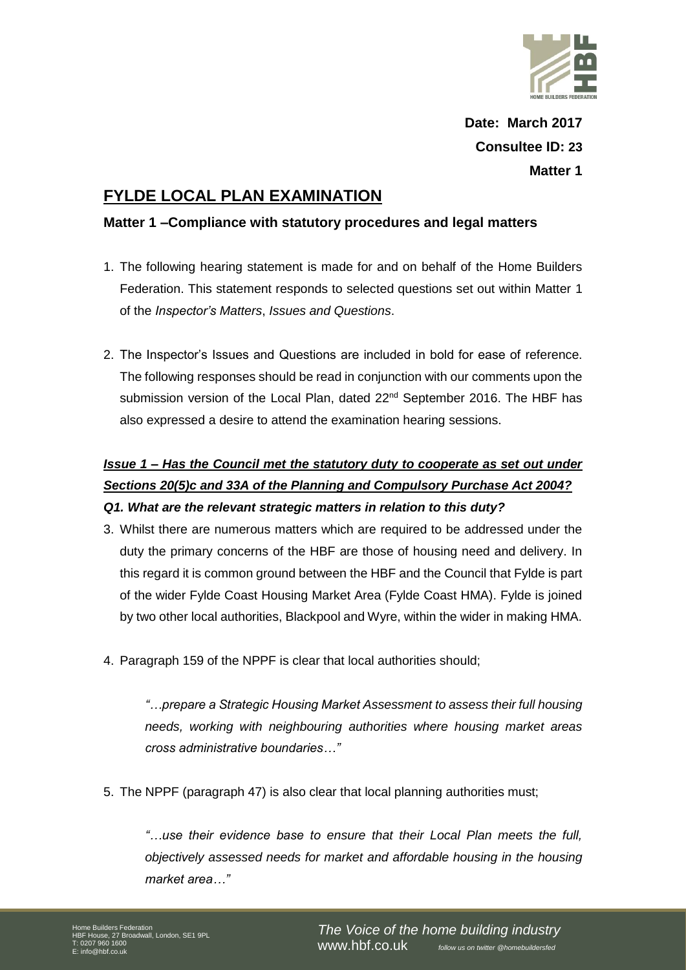

# **FYLDE LOCAL PLAN EXAMINATION**

#### **Matter 1 –Compliance with statutory procedures and legal matters**

- 1. The following hearing statement is made for and on behalf of the Home Builders Federation. This statement responds to selected questions set out within Matter 1 of the *Inspector's Matters*, *Issues and Questions*.
- 2. The Inspector's Issues and Questions are included in bold for ease of reference. The following responses should be read in conjunction with our comments upon the submission version of the Local Plan, dated 22<sup>nd</sup> September 2016. The HBF has also expressed a desire to attend the examination hearing sessions.

## *Issue 1 – Has the Council met the statutory duty to cooperate as set out under Sections 20(5)c and 33A of the Planning and Compulsory Purchase Act 2004? Q1. What are the relevant strategic matters in relation to this duty?*

- 3. Whilst there are numerous matters which are required to be addressed under the duty the primary concerns of the HBF are those of housing need and delivery. In this regard it is common ground between the HBF and the Council that Fylde is part of the wider Fylde Coast Housing Market Area (Fylde Coast HMA). Fylde is joined by two other local authorities, Blackpool and Wyre, within the wider in making HMA.
- 4. Paragraph 159 of the NPPF is clear that local authorities should;

*"…prepare a Strategic Housing Market Assessment to assess their full housing needs, working with neighbouring authorities where housing market areas cross administrative boundaries…"* 

5. The NPPF (paragraph 47) is also clear that local planning authorities must;

*"…use their evidence base to ensure that their Local Plan meets the full, objectively assessed needs for market and affordable housing in the housing market area…"*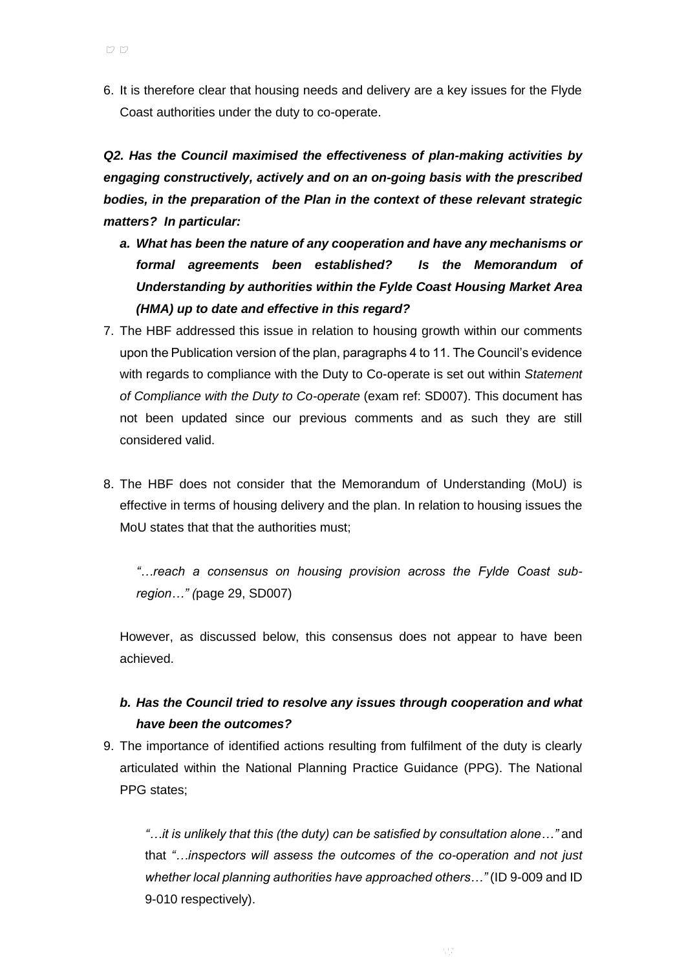6. It is therefore clear that housing needs and delivery are a key issues for the Flyde Coast authorities under the duty to co-operate.

*Q2. Has the Council maximised the effectiveness of plan-making activities by engaging constructively, actively and on an on-going basis with the prescribed bodies, in the preparation of the Plan in the context of these relevant strategic matters? In particular:*

- *a. What has been the nature of any cooperation and have any mechanisms or formal agreements been established? Is the Memorandum of Understanding by authorities within the Fylde Coast Housing Market Area (HMA) up to date and effective in this regard?*
- 7. The HBF addressed this issue in relation to housing growth within our comments upon the Publication version of the plan, paragraphs 4 to 11. The Council's evidence with regards to compliance with the Duty to Co-operate is set out within *Statement of Compliance with the Duty to Co-operate* (exam ref: SD007). This document has not been updated since our previous comments and as such they are still considered valid.
- 8. The HBF does not consider that the Memorandum of Understanding (MoU) is effective in terms of housing delivery and the plan. In relation to housing issues the MoU states that that the authorities must;

*"…reach a consensus on housing provision across the Fylde Coast subregion…" (*page 29, SD007)

However, as discussed below, this consensus does not appear to have been achieved.

### *b. Has the Council tried to resolve any issues through cooperation and what have been the outcomes?*

9. The importance of identified actions resulting from fulfilment of the duty is clearly articulated within the National Planning Practice Guidance (PPG). The National PPG states;

*"…it is unlikely that this (the duty) can be satisfied by consultation alone…"* and that *"…inspectors will assess the outcomes of the co-operation and not just whether local planning authorities have approached others…"* (ID 9-009 and ID 9-010 respectively).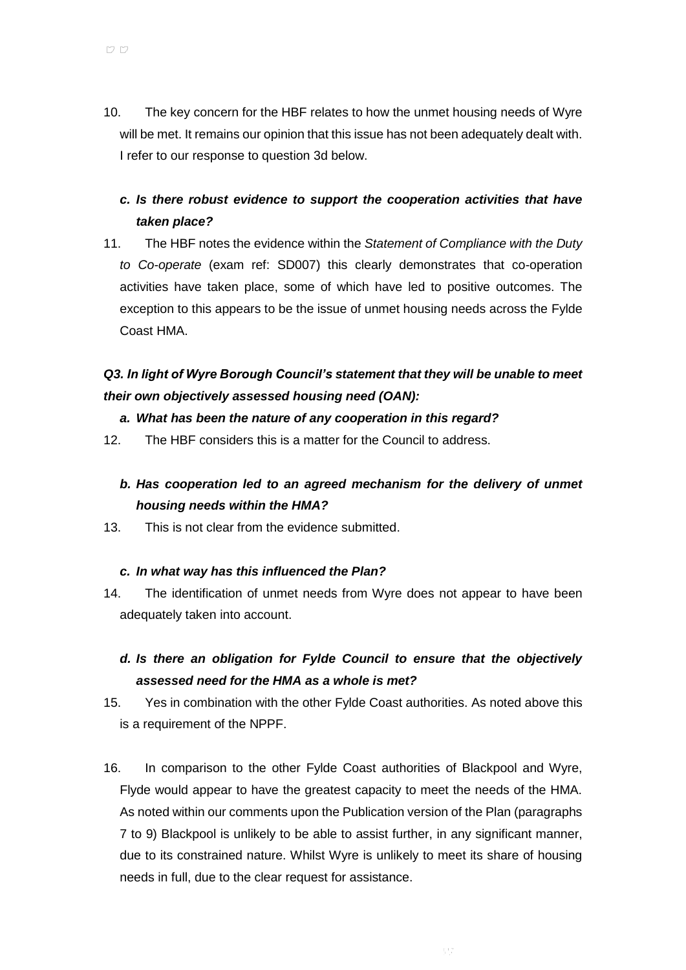- 10. The key concern for the HBF relates to how the unmet housing needs of Wyre will be met. It remains our opinion that this issue has not been adequately dealt with. I refer to our response to question 3d below.
	- *c. Is there robust evidence to support the cooperation activities that have taken place?*
- 11. The HBF notes the evidence within the *Statement of Compliance with the Duty to Co-operate* (exam ref: SD007) this clearly demonstrates that co-operation activities have taken place, some of which have led to positive outcomes. The exception to this appears to be the issue of unmet housing needs across the Fylde Coast HMA.

## *Q3. In light of Wyre Borough Council's statement that they will be unable to meet their own objectively assessed housing need (OAN):*

#### *a. What has been the nature of any cooperation in this regard?*

12. The HBF considers this is a matter for the Council to address.

### *b. Has cooperation led to an agreed mechanism for the delivery of unmet housing needs within the HMA?*

13. This is not clear from the evidence submitted.

#### *c. In what way has this influenced the Plan?*

14. The identification of unmet needs from Wyre does not appear to have been adequately taken into account.

### *d. Is there an obligation for Fylde Council to ensure that the objectively assessed need for the HMA as a whole is met?*

- 15. Yes in combination with the other Fylde Coast authorities. As noted above this is a requirement of the NPPF.
- 16. In comparison to the other Fylde Coast authorities of Blackpool and Wyre, Flyde would appear to have the greatest capacity to meet the needs of the HMA. As noted within our comments upon the Publication version of the Plan (paragraphs 7 to 9) Blackpool is unlikely to be able to assist further, in any significant manner, due to its constrained nature. Whilst Wyre is unlikely to meet its share of housing needs in full, due to the clear request for assistance.